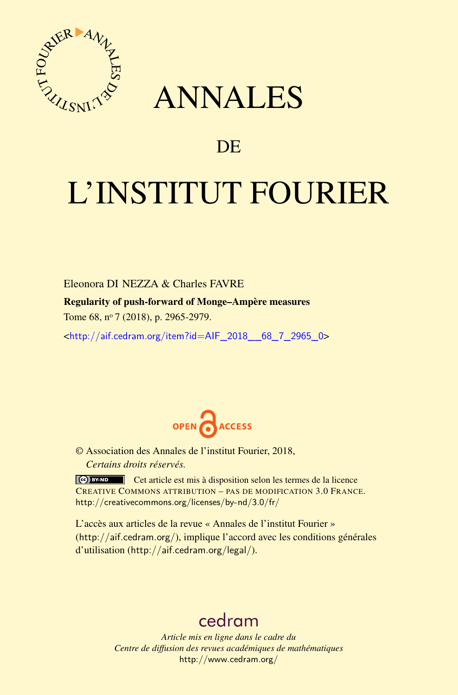

## ANNALES

### **DE**

# L'INSTITUT FOURIER

Eleonora DI NEZZA & Charles FAVRE

Regularity of push-forward of Monge–Ampère measures

Tome 68, n<sup>o</sup> 7 (2018), p. 2965-2979.

<[http://aif.cedram.org/item?id=AIF\\_2018\\_\\_68\\_7\\_2965\\_0](http://aif.cedram.org/item?id=AIF_2018__68_7_2965_0)>



© Association des Annales de l'institut Fourier, 2018, *Certains droits réservés.*

Cet article est mis à disposition selon les termes de la licence CREATIVE COMMONS ATTRIBUTION – PAS DE MODIFICATION 3.0 FRANCE. <http://creativecommons.org/licenses/by-nd/3.0/fr/>

L'accès aux articles de la revue « Annales de l'institut Fourier » (<http://aif.cedram.org/>), implique l'accord avec les conditions générales d'utilisation (<http://aif.cedram.org/legal/>).

## [cedram](http://www.cedram.org/)

*Article mis en ligne dans le cadre du Centre de diffusion des revues académiques de mathématiques* <http://www.cedram.org/>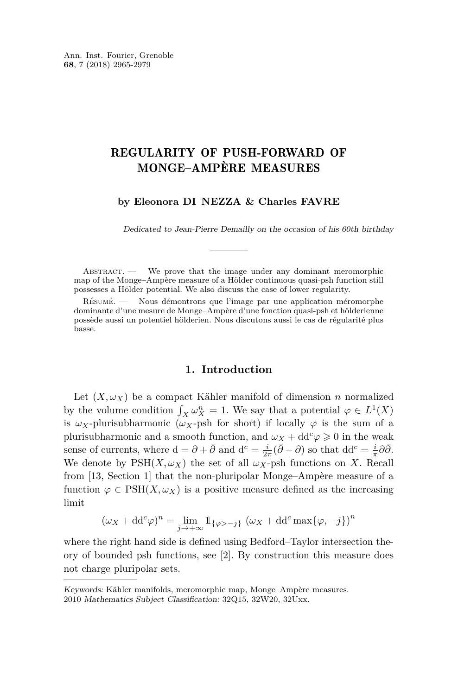#### REGULARITY OF PUSH-FORWARD OF MONGE–AMPÈRE MEASURES

#### **by Eleonora DI NEZZA & Charles FAVRE**

Dedicated to Jean-Pierre Demailly on the occasion of his 60th birthday

ABSTRACT. - We prove that the image under any dominant meromorphic map of the Monge–Ampère measure of a Hölder continuous quasi-psh function still possesses a Hölder potential. We also discuss the case of lower regularity.

Résumé. — Nous démontrons que l'image par une application méromorphe dominante d'une mesure de Monge–Ampère d'une fonction quasi-psh et hölderienne possède aussi un potentiel hölderien. Nous discutons aussi le cas de régularité plus basse.

#### **1. Introduction**

Let  $(X, \omega_X)$  be a compact Kähler manifold of dimension *n* normalized by the volume condition  $\int_X \omega_X^n = 1$ . We say that a potential  $\varphi \in L^1(X)$ is  $\omega_X$ -plurisubharmonic ( $\omega_X$ -psh for short) if locally  $\varphi$  is the sum of a plurisubharmonic and a smooth function, and  $\omega_X + dd^c \varphi \geq 0$  in the weak sense of currents, where  $d = \partial + \overline{\partial}$  and  $d^c = \frac{i}{2\pi}(\overline{\partial} - \partial)$  so that  $dd^c = \frac{i}{\pi}\partial\overline{\partial}$ . We denote by  $PSH(X, \omega_X)$  the set of all  $\omega_X$ -psh functions on X. Recall from [\[13,](#page-15-0) Section 1] that the non-pluripolar Monge–Ampère measure of a function  $\varphi \in \text{PSH}(X, \omega_X)$  is a positive measure defined as the increasing limit

 $(\omega_X + dd^c \varphi)^n = \lim_{j \to +\infty} \mathbb{1}_{\{\varphi > -j\}} (\omega_X + dd^c \max{\{\varphi, -j\}})^n$ 

where the right hand side is defined using Bedford–Taylor intersection theory of bounded psh functions, see [\[2\]](#page-14-0). By construction this measure does not charge pluripolar sets.

Keywords: Kähler manifolds, meromorphic map, Monge–Ampère measures.

<sup>2010</sup> Mathematics Subject Classification: 32Q15, 32W20, 32Uxx.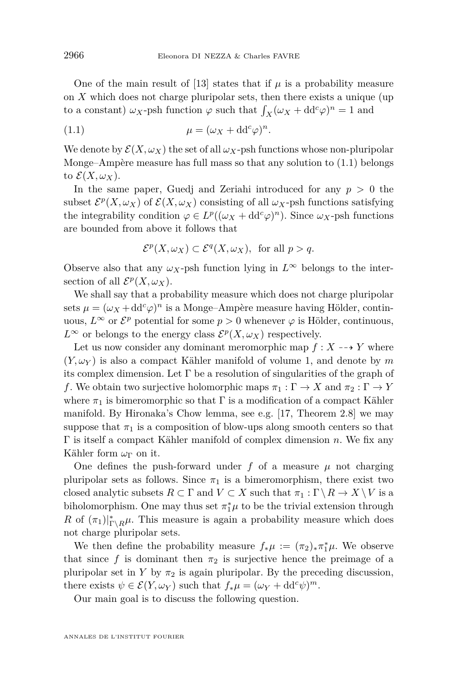One of the main result of [\[13\]](#page-15-0) states that if  $\mu$  is a probability measure on *X* which does not charge pluripolar sets, then there exists a unique (up to a constant)  $\omega_X$ -psh function  $\varphi$  such that  $\int_X (\omega_X + dd^c \varphi)^n = 1$  and

<span id="page-2-0"></span>(1.1) 
$$
\mu = (\omega_X + dd^c \varphi)^n.
$$

We denote by  $\mathcal{E}(X,\omega_X)$  the set of all  $\omega_X$ -psh functions whose non-pluripolar Monge–Ampère measure has full mass so that any solution to  $(1.1)$  belongs to  $\mathcal{E}(X,\omega_X)$ .

In the same paper, Guedj and Zeriahi introduced for any  $p > 0$  the subset  $\mathcal{E}^p(X, \omega_X)$  of  $\mathcal{E}(X, \omega_X)$  consisting of all  $\omega_X$ -psh functions satisfying the integrability condition  $\varphi \in L^p((\omega_X + dd^c \varphi)^n)$ . Since  $\omega_X$ -psh functions are bounded from above it follows that

$$
\mathcal{E}^p(X,\omega_X) \subset \mathcal{E}^q(X,\omega_X), \text{ for all } p > q.
$$

Observe also that any  $\omega_X$ -psh function lying in  $L^\infty$  belongs to the intersection of all  $\mathcal{E}^p(X, \omega_X)$ .

We shall say that a probability measure which does not charge pluripolar sets  $\mu = (\omega_X + dd^c \varphi)^n$  is a Monge–Ampère measure having Hölder, continuous,  $L^{\infty}$  or  $\mathcal{E}^{p}$  potential for some  $p > 0$  whenever  $\varphi$  is Hölder, continuous,  $L^{\infty}$  or belongs to the energy class  $\mathcal{E}^p(X,\omega_X)$  respectively.

Let us now consider any dominant meromorphic map  $f: X \dashrightarrow Y$  where  $(Y, \omega_Y)$  is also a compact Kähler manifold of volume 1, and denote by m its complex dimension. Let  $\Gamma$  be a resolution of singularities of the graph of *f*. We obtain two surjective holomorphic maps  $\pi_1 : \Gamma \to X$  and  $\pi_2 : \Gamma \to Y$ where  $\pi_1$  is bimeromorphic so that  $\Gamma$  is a modification of a compact Kähler manifold. By Hironaka's Chow lemma, see e.g. [\[17,](#page-15-1) Theorem 2.8] we may suppose that  $\pi_1$  is a composition of blow-ups along smooth centers so that Γ is itself a compact Kähler manifold of complex dimension *n*. We fix any Kähler form *ω*<sup>Γ</sup> on it.

One defines the push-forward under  $f$  of a measure  $\mu$  not charging pluripolar sets as follows. Since  $\pi_1$  is a bimeromorphism, there exist two closed analytic subsets  $R \subset \Gamma$  and  $V \subset X$  such that  $\pi_1 : \Gamma \setminus R \to X \setminus V$  is a biholomorphism. One may thus set  $\pi_1^*\mu$  to be the trivial extension through *R* of  $(\pi_1)|_{\Gamma \backslash R}^*$ *µ*. This measure is again a probability measure which does not charge pluripolar sets.

We then define the probability measure  $f_*\mu := (\pi_2)_*\pi_1^*\mu$ . We observe that since f is dominant then  $\pi_2$  is surjective hence the preimage of a pluripolar set in *Y* by  $\pi_2$  is again pluripolar. By the preceding discussion, there exists  $\psi \in \mathcal{E}(Y, \omega_Y)$  such that  $f_*\mu = (\omega_Y + dd^c \psi)^m$ .

Our main goal is to discuss the following question.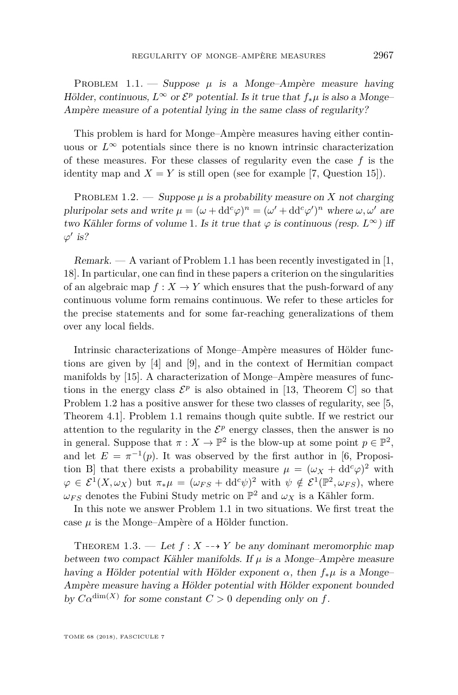<span id="page-3-0"></span>PROBLEM  $1.1.$  — Suppose  $\mu$  is a Monge–Ampère measure having Hölder, continuous,  $L^{\infty}$  or  $\mathcal{E}^p$  potential. Is it true that  $f_*\mu$  is also a Monge-Ampère measure of a potential lying in the same class of regularity?

This problem is hard for Monge–Ampère measures having either continuous or  $L^{\infty}$  potentials since there is no known intrinsic characterization of these measures. For these classes of regularity even the case *f* is the identity map and  $X = Y$  is still open (see for example [\[7,](#page-15-2) Question 15]).

<span id="page-3-1"></span>PROBLEM 1.2. — Suppose  $\mu$  is a probability measure on X not charging pluripolar sets and write  $\mu = (\omega + dd^c \varphi)^n = (\omega' + dd^c \varphi')^n$  where  $\omega, \omega'$  are two Kähler forms of volume 1. Is it true that  $\varphi$  is continuous (resp.  $L^{\infty}$ ) iff  $\varphi'$  is?

Remark.  $- A$  variant of Problem [1.1](#page-3-0) has been recently investigated in [\[1,](#page-14-1) [18\]](#page-15-3). In particular, one can find in these papers a criterion on the singularities of an algebraic map  $f: X \to Y$  which ensures that the push-forward of any continuous volume form remains continuous. We refer to these articles for the precise statements and for some far-reaching generalizations of them over any local fields.

Intrinsic characterizations of Monge–Ampère measures of Hölder functions are given by [\[4\]](#page-14-2) and [\[9\]](#page-15-4), and in the context of Hermitian compact manifolds by [\[15\]](#page-15-5). A characterization of Monge–Ampère measures of functions in the energy class  $\mathcal{E}^p$  is also obtained in [\[13,](#page-15-0) Theorem C] so that Problem [1.2](#page-3-1) has a positive answer for these two classes of regularity, see [\[5,](#page-15-6) Theorem 4.1]. Problem [1.1](#page-3-0) remains though quite subtle. If we restrict our attention to the regularity in the  $\mathcal{E}^p$  energy classes, then the answer is no in general. Suppose that  $\pi : X \to \mathbb{P}^2$  is the blow-up at some point  $p \in \mathbb{P}^2$ , and let  $E = \pi^{-1}(p)$ . It was observed by the first author in [\[6,](#page-15-7) Proposition B] that there exists a probability measure  $\mu = (\omega_X + dd^c \varphi)^2$  with  $\varphi \in \mathcal{E}^1(X, \omega_X)$  but  $\pi_*\mu = (\omega_{FS} + \mathrm{dd}^c \psi)^2$  with  $\psi \notin \mathcal{E}^1(\mathbb{P}^2, \omega_{FS}),$  where  $\omega_{FS}$  denotes the Fubini Study metric on  $\mathbb{P}^2$  and  $\omega_X$  is a Kähler form.

In this note we answer Problem [1.1](#page-3-0) in two situations. We first treat the case  $\mu$  is the Monge–Ampère of a Hölder function.

<span id="page-3-2"></span>THEOREM 1.3. — Let  $f: X \dashrightarrow Y$  be any dominant meromorphic map between two compact Kähler manifolds. If *µ* is a Monge–Ampère measure having a Hölder potential with Hölder exponent *α*, then *f*∗*µ* is a Monge– Ampère measure having a Hölder potential with Hölder exponent bounded by  $C\alpha^{\dim(X)}$  for some constant  $C > 0$  depending only on  $f$ .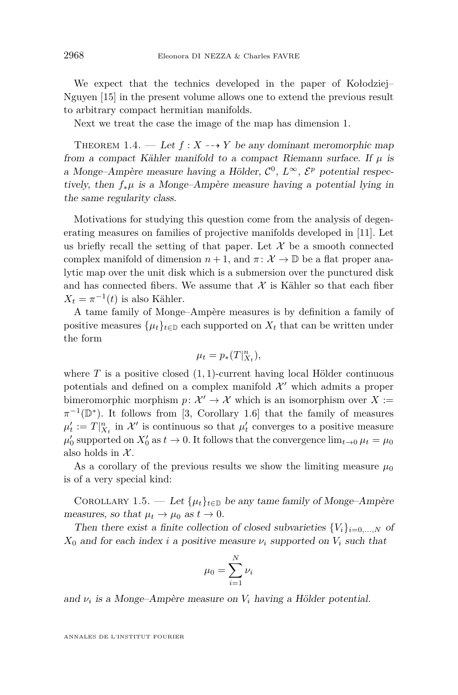We expect that the technics developed in the paper of Kołodziej– Nguyen [\[15\]](#page-15-5) in the present volume allows one to extend the previous result to arbitrary compact hermitian manifolds.

Next we treat the case the image of the map has dimension 1.

<span id="page-4-0"></span>THEOREM 1.4. — Let  $f: X \dashrightarrow Y$  be any dominant meromorphic map from a compact Kähler manifold to a compact Riemann surface. If  $\mu$  is a Monge–Ampère measure having a Hölder,  $\mathcal{C}^0$ ,  $\mathcal{L}^\infty$ ,  $\mathcal{E}^p$  potential respectively, then *f*∗*µ* is a Monge–Ampère measure having a potential lying in the same regularity class.

Motivations for studying this question come from the analysis of degenerating measures on families of projective manifolds developed in [\[11\]](#page-15-8). Let us briefly recall the setting of that paper. Let  $\mathcal X$  be a smooth connected complex manifold of dimension  $n + 1$ , and  $\pi: \mathcal{X} \to \mathbb{D}$  be a flat proper analytic map over the unit disk which is a submersion over the punctured disk and has connected fibers. We assume that  $\mathcal X$  is Kähler so that each fiber  $X_t = \pi^{-1}(t)$  is also Kähler.

A tame family of Monge–Ampère measures is by definition a family of positive measures  $\{\mu_t\}_{t\in\mathbb{D}}$  each supported on  $X_t$  that can be written under the form

$$
\mu_t=p_*(T|_{X_t}^n),
$$

where  $T$  is a positive closed  $(1, 1)$ -current having local Hölder continuous potentials and defined on a complex manifold  $\mathcal{X}'$  which admits a proper bimeromorphic morphism  $p: \mathcal{X}' \to \mathcal{X}$  which is an isomorphism over  $X :=$  $\pi^{-1}(\mathbb{D}^*)$ . It follows from [\[3,](#page-14-3) Corollary 1.6] that the family of measures  $\mu'_t := T|_{X_t}^n$  in  $\mathcal{X}'$  is continuous so that  $\mu'_t$  converges to a positive measure  $\mu'_0$  supported on  $X'_0$  as  $t \to 0$ . It follows that the convergence  $\lim_{t \to 0} \mu_t = \mu_0$ also holds in  $\mathcal{X}$ .

As a corollary of the previous results we show the limiting measure  $\mu_0$ is of a very special kind:

<span id="page-4-1"></span>COROLLARY 1.5. — Let  $\{\mu_t\}_{t\in\mathbb{D}}$  be any tame family of Monge–Ampère measures, so that  $\mu_t \to \mu_0$  as  $t \to 0$ .

Then there exist a finite collection of closed subvarieties  $\{V_i\}_{i=0,...,N}$  of  $X_0$  and for each index *i* a positive measure  $\nu_i$  supported on  $V_i$  such that

$$
\mu_0 = \sum_{i=1}^N \nu_i
$$

and *ν<sup>i</sup>* is a Monge–Ampère measure on *V<sup>i</sup>* having a Hölder potential.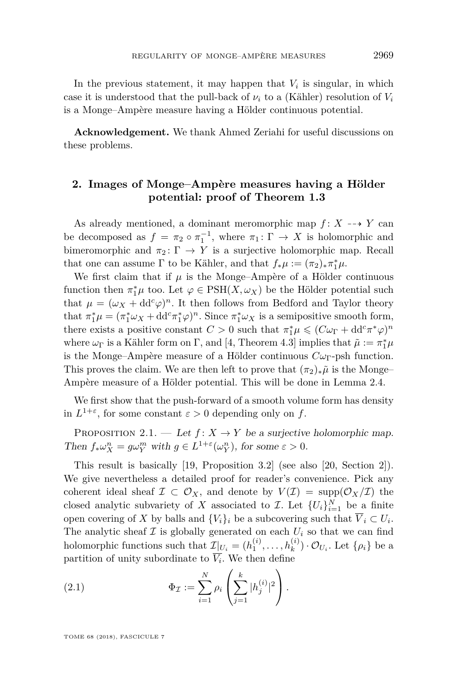In the previous statement, it may happen that  $V_i$  is singular, in which case it is understood that the pull-back of  $\nu_i$  to a (Kähler) resolution of  $V_i$ is a Monge–Ampère measure having a Hölder continuous potential.

**Acknowledgement.** We thank Ahmed Zeriahi for useful discussions on these problems.

#### **2. Images of Monge–Ampère measures having a Hölder potential: proof of Theorem [1.3](#page-3-2)**

As already mentioned, a dominant meromorphic map  $f: X \dashrightarrow Y$  can be decomposed as  $f = \pi_2 \circ \pi_1^{-1}$ , where  $\pi_1: \Gamma \to X$  is holomorphic and bimeromorphic and  $\pi_2 \colon \Gamma \to Y$  is a surjective holomorphic map. Recall that one can assume  $\Gamma$  to be Kähler, and that  $f_*\mu := (\pi_2)_*\pi_1^*\mu$ .

We first claim that if  $\mu$  is the Monge–Ampère of a Hölder continuous function then  $\pi_1^*\mu$  too. Let  $\varphi \in \text{PSH}(X, \omega_X)$  be the Hölder potential such that  $\mu = (\omega_X + dd^c \varphi)^n$ . It then follows from Bedford and Taylor theory that  $\pi_1^*\mu = (\pi_1^*\omega_X + \mathrm{d}d^c\pi_1^*\varphi)^n$ . Since  $\pi_1^*\omega_X$  is a semipositive smooth form, there exists a positive constant  $C > 0$  such that  $\pi_1^* \mu \leqslant (C \omega_{\Gamma} + dd^c \pi^* \varphi)^n$ where  $\omega_{\Gamma}$  is a Kähler form on  $\Gamma$ , and [\[4,](#page-14-2) Theorem 4.3] implies that  $\tilde{\mu} := \pi_1^* \mu$ is the Monge–Ampère measure of a Hölder continuous  $C\omega_{\Gamma}$ -psh function. This proves the claim. We are then left to prove that  $(\pi_2)_*\tilde{\mu}$  is the Monge– Ampère measure of a Hölder potential. This will be done in Lemma [2.4.](#page-7-0)

We first show that the push-forward of a smooth volume form has density in  $L^{1+\varepsilon}$ , for some constant  $\varepsilon > 0$  depending only on f.

<span id="page-5-1"></span>PROPOSITION 2.1. — Let  $f: X \to Y$  be a surjective holomorphic map. Then  $f_* \omega_X^n = g \omega_Y^m$  with  $g \in L^{1+\varepsilon}(\omega_Y^n)$ , for some  $\varepsilon > 0$ .

This result is basically [\[19,](#page-15-9) Proposition 3.2] (see also [\[20,](#page-15-10) Section 2]). We give nevertheless a detailed proof for reader's convenience. Pick any coherent ideal sheaf  $\mathcal{I} \subset \mathcal{O}_X$ , and denote by  $V(\mathcal{I}) = \text{supp}(\mathcal{O}_X/\mathcal{I})$  the closed analytic subvariety of *X* associated to *I*. Let  $\{U_i\}_{i=1}^N$  be a finite open covering of *X* by balls and  $\{V_i\}_i$  be a subcovering such that  $\overline{V}_i \subset U_i$ . The analytic sheaf  $\mathcal I$  is globally generated on each  $U_i$  so that we can find holomorphic functions such that  $\mathcal{I}|_{U_i} = (h_1^{(i)}, \ldots, h_k^{(i)}) \cdot \mathcal{O}_{U_i}$ . Let  $\{\rho_i\}$  be a partition of unity subordinate to  $V_i$ . We then define

<span id="page-5-0"></span>(2.1) 
$$
\Phi_{\mathcal{I}} := \sum_{i=1}^{N} \rho_i \left( \sum_{j=1}^{k} |h_j^{(i)}|^2 \right).
$$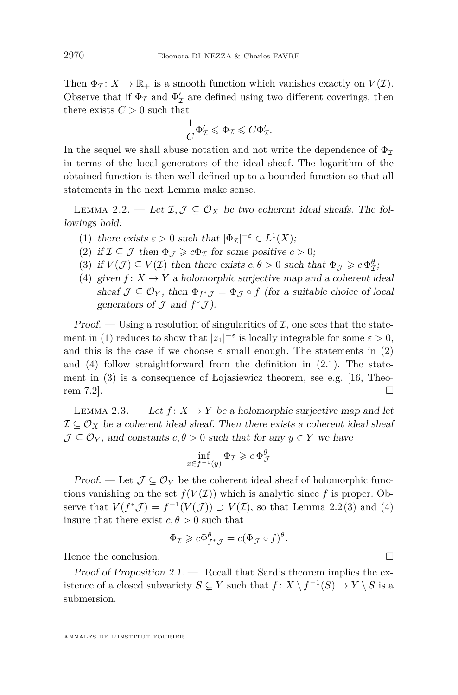Then  $\Phi_{\mathcal{I}}: X \to \mathbb{R}_+$  is a smooth function which vanishes exactly on  $V(\mathcal{I})$ . Observe that if  $\Phi_{\mathcal{I}}$  and  $\Phi_{\mathcal{I}}'$  are defined using two different coverings, then there exists  $C > 0$  such that

$$
\frac{1}{C}\Phi'_{\mathcal{I}} \leqslant \Phi_{\mathcal{I}} \leqslant C\Phi'_{\mathcal{I}}.
$$

In the sequel we shall abuse notation and not write the dependence of  $\Phi_{\mathcal{I}}$ in terms of the local generators of the ideal sheaf. The logarithm of the obtained function is then well-defined up to a bounded function so that all statements in the next Lemma make sense.

<span id="page-6-4"></span>LEMMA 2.2. — Let  $\mathcal{I}, \mathcal{J} \subseteq \mathcal{O}_X$  be two coherent ideal sheafs. The followings hold:

- <span id="page-6-0"></span>(1) there exists  $\varepsilon > 0$  such that  $|\Phi_{\mathcal{I}}|^{-\varepsilon} \in L^1(X);$
- <span id="page-6-1"></span>(2) if  $\mathcal{I} \subseteq \mathcal{J}$  then  $\Phi_{\mathcal{I}} \geq c \Phi_{\mathcal{I}}$  for some positive  $c > 0$ ;
- <span id="page-6-3"></span>(3) if  $V(\mathcal{J}) \subseteq V(\mathcal{I})$  then there exists  $c, \theta > 0$  such that  $\Phi_{\mathcal{J}} \geq c \Phi_{\mathcal{I}}^{\theta}$ ;
- <span id="page-6-2"></span>(4) given  $f: X \to Y$  a holomorphic surjective map and a coherent ideal sheaf  $\mathcal{J} \subseteq \mathcal{O}_Y$ , then  $\Phi_{f^*J} = \Phi_{\mathcal{J}} \circ f$  (for a suitable choice of local generators of  $\mathcal J$  and  $f^*\mathcal J$ ).

Proof. — Using a resolution of singularities of  $\mathcal{I}$ , one sees that the state-ment in [\(1\)](#page-6-0) reduces to show that  $|z_1|^{-\varepsilon}$  is locally integrable for some  $\varepsilon > 0$ , and this is the case if we choose  $\varepsilon$  small enough. The statements in [\(2\)](#page-6-1) and  $(4)$  follow straightforward from the definition in  $(2.1)$ . The statement in [\(3\)](#page-6-3) is a consequence of Łojasiewicz theorem, see e.g. [\[16,](#page-15-11) Theorem 7.2].

<span id="page-6-5"></span>LEMMA 2.3. — Let  $f: X \to Y$  be a holomorphic surjective map and let  $\mathcal{I} \subseteq \mathcal{O}_X$  be a coherent ideal sheaf. Then there exists a coherent ideal sheaf  $\mathcal{J} \subseteq \mathcal{O}_Y$ , and constants  $c, \theta > 0$  such that for any  $y \in Y$  we have

$$
\inf_{x \in f^{-1}(y)} \Phi_{\mathcal{I}} \geqslant c \, \Phi_{\mathcal{J}}^{\theta}
$$

Proof. — Let  $\mathcal{J} \subseteq \mathcal{O}_Y$  be the coherent ideal sheaf of holomorphic functions vanishing on the set  $f(V(\mathcal{I}))$  which is analytic since f is proper. Observe that  $V(f^*\mathcal{J}) = f^{-1}(V(\mathcal{J})) \supset V(\mathcal{I})$ , so that Lemma [2.2](#page-6-4)[\(3\)](#page-6-3) and [\(4\)](#page-6-2) insure that there exist  $c, \theta > 0$  such that

$$
\Phi_{\mathcal{I}} \geqslant c \Phi_{f^* \mathcal{J}}^{\theta} = c (\Phi_{\mathcal{J}} \circ f)^{\theta}
$$

*.*

Hence the conclusion.

Proof of Proposition  $2.1.$  — Recall that Sard's theorem implies the existence of a closed subvariety  $S \subsetneq Y$  such that  $f: X \setminus f^{-1}(S) \to Y \setminus S$  is a submersion.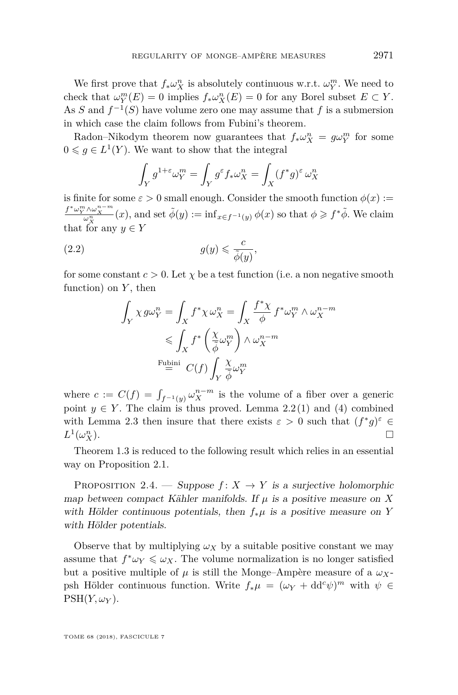We first prove that  $f_* \omega_X^n$  is absolutely continuous w.r.t.  $\omega_Y^m$ . We need to check that  $\omega_Y^m(E) = 0$  implies  $f_*\omega_X^n(E) = 0$  for any Borel subset  $E \subset Y$ . As *S* and  $f^{-1}(S)$  have volume zero one may assume that *f* is a submersion in which case the claim follows from Fubini's theorem.

Radon–Nikodym theorem now guarantees that  $f_* \omega_X^n = g \omega_Y^m$  for some  $0 \leq g \in L^1(Y)$ . We want to show that the integral

$$
\int_Y g^{1+\varepsilon} \omega_Y^m = \int_Y g^\varepsilon f_* \omega_X^n = \int_X (f^* g)^\varepsilon \, \omega_X^n
$$

is finite for some  $\varepsilon > 0$  small enough. Consider the smooth function  $\phi(x) :=$  $f^* \omega_X^{m \wedge \omega_X^{n-m}}(x)$ , and set  $\tilde{\phi}(y) := \inf_{x \in f^{-1}(y)} \phi(x)$  so that  $\phi \geq f^* \tilde{\phi}$ . We claim that for any  $y \in Y$ 

(2.2) 
$$
g(y) \leqslant \frac{c}{\tilde{\phi}(y)},
$$

for some constant  $c > 0$ . Let  $\chi$  be a test function (i.e. a non negative smooth function) on *Y* , then

$$
\begin{aligned} \int_Y \chi\, g\omega_Y^n &= \int_X f^*\chi\, \omega_X^n = \int_X \frac{f^*\chi}{\phi}\, f^*\omega_Y^m \wedge \omega_X^{n-m} \\ &\leqslant \int_X f^*\left(\frac{\chi}{\tilde{\phi}}\omega_Y^m\right) \wedge \omega_X^{n-m} \\ &\stackrel{\text{Fubini}}{=} \ C(f) \int_Y \frac{\chi}{\tilde{\phi}}\omega_Y^m \end{aligned}
$$

where  $c := C(f) = \int_{f^{-1}(y)} \omega_X^{n-m}$  is the volume of a fiber over a generic point  $y \in Y$ . The claim is thus proved. Lemma [2.2](#page-6-4)[\(1\)](#page-6-0) and [\(4\)](#page-6-2) combined with Lemma [2.3](#page-6-5) then insure that there exists  $\varepsilon > 0$  such that  $(f^*g)^\varepsilon \in$  $L^1(\omega_X^n)$  $\Gamma_X^n$ ).

Theorem [1.3](#page-3-2) is reduced to the following result which relies in an essential way on Proposition [2.1.](#page-5-1)

<span id="page-7-0"></span>PROPOSITION 2.4. — Suppose  $f: X \rightarrow Y$  is a surjective holomorphic map between compact Kähler manifolds. If  $\mu$  is a positive measure on *X* with Hölder continuous potentials, then *f*∗*µ* is a positive measure on *Y* with Hölder potentials.

Observe that by multiplying  $\omega_X$  by a suitable positive constant we may assume that  $f^* \omega_Y \leq \omega_X$ . The volume normalization is no longer satisfied but a positive multiple of  $\mu$  is still the Monge–Ampère measure of a  $\omega_X$ psh Hölder continuous function. Write  $f_*\mu = (\omega_Y + dd^c \psi)^m$  with  $\psi \in$  $PSH(Y, \omega_Y)$ .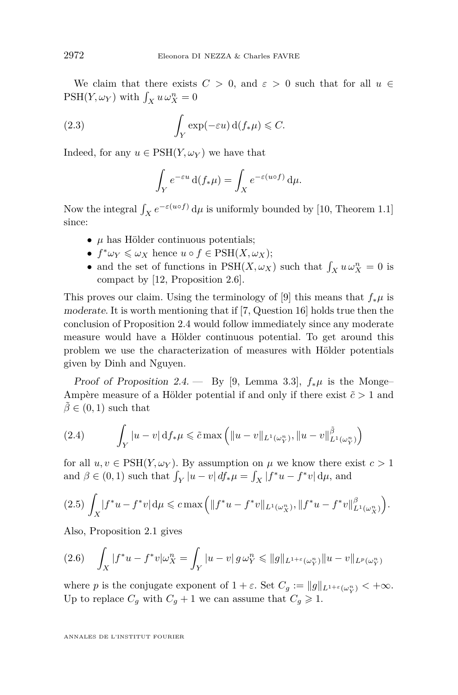We claim that there exists  $C > 0$ , and  $\varepsilon > 0$  such that for all  $u \in$  $PSH(Y, \omega_Y)$  with  $\int_X u \, \omega_X^n = 0$ 

(2.3) 
$$
\int_Y \exp(-\varepsilon u) \,d(f_*\mu) \leqslant C.
$$

Indeed, for any  $u \in \text{PSH}(Y, \omega_Y)$  we have that

$$
\int_Y e^{-\varepsilon u} \, \mathrm{d} (f_* \mu) = \int_X e^{-\varepsilon (u \circ f)} \, \mathrm{d} \mu.
$$

Now the integral  $\int_X e^{-\varepsilon(u\circ f)} d\mu$  is uniformly bounded by [\[10,](#page-15-12) Theorem 1.1] since:

- $\bullet$   $\mu$  has Hölder continuous potentials;
- $f^* \omega_Y \leq \omega_X$  hence  $u \circ f \in \text{PSH}(X, \omega_X);$
- and the set of functions in  $\text{PSH}(X, \omega_X)$  such that  $\int_X u \omega_X^n = 0$  is compact by [\[12,](#page-15-13) Proposition 2.6].

This proves our claim. Using the terminology of [\[9\]](#page-15-4) this means that  $f_*\mu$  is moderate. It is worth mentioning that if [\[7,](#page-15-2) Question 16] holds true then the conclusion of Proposition [2.4](#page-7-0) would follow immediately since any moderate measure would have a Hölder continuous potential. To get around this problem we use the characterization of measures with Hölder potentials given by Dinh and Nguyen.

Proof of Proposition [2.4.](#page-7-0) — By [\[9,](#page-15-4) Lemma 3.3],  $f_*\mu$  is the Monge– Ampère measure of a Hölder potential if and only if there exist  $\tilde{c} > 1$  and  $\tilde{\beta} \in (0,1)$  such that

<span id="page-8-2"></span>(2.4) 
$$
\int_{Y} |u - v| \, \mathrm{d} f_* \mu \leq \tilde{c} \max \left( \|u - v\|_{L^1(\omega_Y^n)}, \|u - v\|_{L^1(\omega_Y^n)}^{\tilde{\beta}} \right)
$$

for all  $u, v \in \text{PSH}(Y, \omega_Y)$ . By assumption on  $\mu$  we know there exist  $c > 1$ and  $\beta \in (0, 1)$  such that  $\int_Y |u - v| \, df_* \mu = \int_X |f^*u - f^*v| \, d\mu$ , and

<span id="page-8-0"></span>
$$
(2.5)\ \int_X |f^*u - f^*v| \, \mathrm{d}\mu \leqslant c \max\Big( \|f^*u - f^*v\|_{L^1(\omega_X^n)}, \|f^*u - f^*v\|_{L^1(\omega_X^n)}^{\beta}\Big).
$$

Also, Proposition [2.1](#page-5-1) gives

<span id="page-8-1"></span>
$$
(2.6) \quad \int_X |f^*u - f^*v|\omega_X^n = \int_Y |u - v| \, g \, \omega_Y^n \leq \|g\|_{L^{1+\varepsilon}(\omega_Y^n)} \|u - v\|_{L^p(\omega_Y^n)}
$$

where *p* is the conjugate exponent of  $1 + \varepsilon$ . Set  $C_g := ||g||_{L^{1+\varepsilon}(\omega_Y^n)} < +\infty$ . Up to replace  $C_g$  with  $C_g + 1$  we can assume that  $C_g \geq 1$ .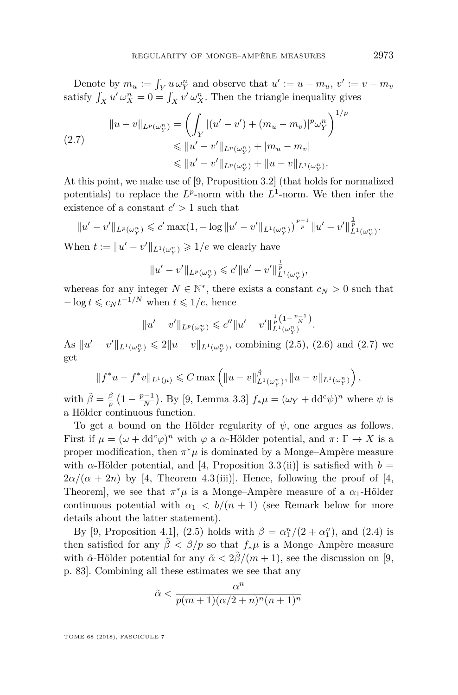Denote by  $m_u := \int_Y u \omega_Y^n$  and observe that  $u' := u - m_u$ ,  $v' := v - m_v$ satisfy  $\int_X u' \omega_X^n = 0 = \int_X v' \omega_X^n$ . Then the triangle inequality gives

<span id="page-9-0"></span>
$$
\|u - v\|_{L^p(\omega_Y^n)} = \left(\int_Y |(u' - v') + (m_u - m_v)|^p \omega_Y^n\right)^1
$$
  
\n
$$
\leq \|u' - v'\|_{L^p(\omega_Y^n)} + |m_u - m_v|
$$
  
\n
$$
\leq \|u' - v'\|_{L^p(\omega_Y^n)} + \|u - v\|_{L^1(\omega_Y^n)}.
$$

At this point, we make use of [\[9,](#page-15-4) Proposition 3.2] (that holds for normalized potentials) to replace the  $L^p$ -norm with the  $L^1$ -norm. We then infer the existence of a constant  $c' > 1$  such that

$$
||u'-v'||_{L^p(\omega_Y^n)} \leqslant c' \max(1, -\log ||u'-v'||_{L^1(\omega_Y^n)})^{\frac{p-1}{p}} ||u'-v'||_{L^1(\omega_Y^n)}^{\frac{1}{p}}.
$$

When  $t := ||u' - v'||_{L^1(\omega_Y^n)} \geq 1/e$  we clearly have

$$
||u'-v'||_{L^p(\omega_Y^n)} \leqslant c'||u'-v'||_{L^1(\omega_Y^n)}^{\frac{1}{p}},
$$

whereas for any integer  $N \in \mathbb{N}^*$ , there exists a constant  $c_N > 0$  such that  $-\log t \leqslant c_N t^{-1/N}$  when  $t \leqslant 1/e$ , hence

$$
||u'-v'||_{L^p(\omega_Y^n)} \leqslant c''||u'-v'||_{L^1(\omega_Y^n)}^{\frac{1}{p}(1-\frac{p-1}{N})}.
$$

As  $||u' - v'||_{L^1(\omega_Y^n)} \leq 2||u - v||_{L^1(\omega_Y^n)}$ , combining [\(2.5\)](#page-8-0), [\(2.6\)](#page-8-1) and [\(2.7\)](#page-9-0) we get

$$
||f^*u - f^*v||_{L^1(\mu)} \leq C \max \left( ||u - v||_{L^1(\omega_Y^n)}^{\tilde{\beta}}, ||u - v||_{L^1(\omega_Y^n)} \right),
$$

with  $\tilde{\beta} = \frac{\beta}{p} \left(1 - \frac{p-1}{N}\right)$ . By [\[9,](#page-15-4) Lemma 3.3]  $f_* \mu = (\omega_Y + dd^c \psi)^n$  where  $\psi$  is a Hölder continuous function.

To get a bound on the Hölder regularity of *ψ*, one argues as follows. First if  $\mu = (\omega + dd^c \varphi)^n$  with  $\varphi$  a  $\alpha$ -Hölder potential, and  $\pi \colon \Gamma \to X$  is a proper modification, then  $\pi^*\mu$  is dominated by a Monge–Ampère measure with  $\alpha$ -Hölder potential, and [\[4,](#page-14-2) Proposition 3.3(ii)] is satisfied with  $b =$  $2\alpha/(\alpha + 2n)$  by [\[4,](#page-14-2) Theorem 4.3(iii)]. Hence, following the proof of [4, Theorem], we see that  $\pi^*\mu$  is a Monge–Ampère measure of a  $\alpha_1$ -Hölder continuous potential with  $\alpha_1 < b/(n+1)$  (see Remark below for more details about the latter statement).

By [\[9,](#page-15-4) Proposition 4.1], [\(2.5\)](#page-8-0) holds with  $\beta = \alpha_1^n/(2 + \alpha_1^n)$ , and [\(2.4\)](#page-8-2) is then satisfied for any  $\tilde{\beta} < \beta/p$  so that  $f_*\mu$  is a Monge–Ampère measure with  $\tilde{\alpha}$ -Hölder potential for any  $\tilde{\alpha} < 2\beta/(m+1)$ , see the discussion on [\[9,](#page-15-4) p. 83]. Combining all these estimates we see that any

$$
\tilde{\alpha} < \frac{\alpha^n}{p(m+1)(\alpha/2 + n)^n (n+1)^n}
$$

TOME 68 (2018), FASCICULE 7

<sup>1</sup>*/p*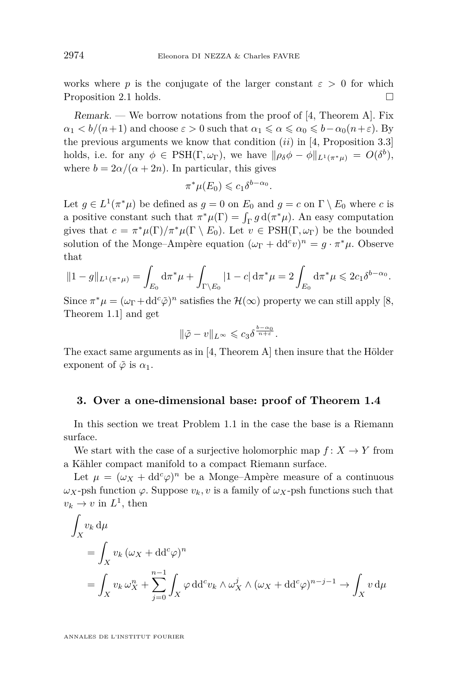works where *p* is the conjugate of the larger constant  $\varepsilon > 0$  for which Proposition [2.1](#page-5-1) holds.

 $Remark.$  — We borrow notations from the proof of [\[4,](#page-14-2) Theorem A]. Fix  $\alpha_1 < b/(n+1)$  and choose  $\varepsilon > 0$  such that  $\alpha_1 \leq \alpha \leq \alpha_0 \leq b-\alpha_0(n+\varepsilon)$ . By the previous arguments we know that condition (*ii*) in [\[4,](#page-14-2) Proposition 3.3] holds, i.e. for any  $\phi \in \text{PSH}(\Gamma, \omega_{\Gamma})$ , we have  $\|\rho_{\delta}\phi - \phi\|_{L^1(\pi^*\mu)} = O(\delta^b)$ , where  $b = 2\alpha/(\alpha + 2n)$ . In particular, this gives

$$
\pi^*\mu(E_0) \leqslant c_1 \delta^{b-\alpha_0}.
$$

Let  $g \in L^1(\pi^*\mu)$  be defined as  $g = 0$  on  $E_0$  and  $g = c$  on  $\Gamma \setminus E_0$  where *c* is a positive constant such that  $\pi^*\mu(\Gamma) = \int_{\Gamma} g \, d(\pi^*\mu)$ . An easy computation gives that  $c = \pi^* \mu(\Gamma)/\pi^* \mu(\Gamma \setminus E_0)$ . Let  $v \in \text{PSH}(\Gamma, \omega_{\Gamma})$  be the bounded solution of the Monge–Ampère equation  $(\omega_{\Gamma} + dd^c v)^n = g \cdot \pi^* \mu$ . Observe that

$$
||1 - g||_{L^{1}(\pi^{*}\mu)} = \int_{E_{0}} d\pi^{*}\mu + \int_{\Gamma \backslash E_{0}} |1 - c| d\pi^{*}\mu = 2 \int_{E_{0}} d\pi^{*}\mu \leq 2c_{1}\delta^{b - \alpha_{0}}.
$$

Since  $\pi^*\mu = (\omega_{\Gamma} + dd^c \tilde{\varphi})^n$  satisfies the  $\mathcal{H}(\infty)$  property we can still apply [\[8,](#page-15-14) Theorem 1.1] and get

$$
\|\tilde{\varphi} - v\|_{L^\infty} \leqslant c_3 \delta^{\frac{b-\alpha_0}{n+\varepsilon}}.
$$

The exact same arguments as in [\[4,](#page-14-2) Theorem A] then insure that the Hölder exponent of  $\tilde{\varphi}$  is  $\alpha_1$ .

#### **3. Over a one-dimensional base: proof of Theorem [1.4](#page-4-0)**

In this section we treat Problem [1.1](#page-3-0) in the case the base is a Riemann surface.

We start with the case of a surjective holomorphic map  $f: X \to Y$  from a Kähler compact manifold to a compact Riemann surface.

Let  $\mu = (\omega_X + dd^c \varphi)^n$  be a Monge–Ampère measure of a continuous  $ω$ *X*-psh function  $φ$ . Suppose  $v_k$ *, v* is a family of  $ω$ *X*-psh functions such that  $v_k \to v$  in  $L^1$ , then

$$
\int_X v_k \, d\mu
$$
\n
$$
= \int_X v_k (\omega_X + \mathrm{d} \mathrm{d}^c \varphi)^n
$$
\n
$$
= \int_X v_k \, \omega_X^n + \sum_{j=0}^{n-1} \int_X \varphi \, \mathrm{d} \mathrm{d}^c v_k \wedge \omega_X^j \wedge (\omega_X + \mathrm{d} \mathrm{d}^c \varphi)^{n-j-1} \to \int_X v \, d\mu
$$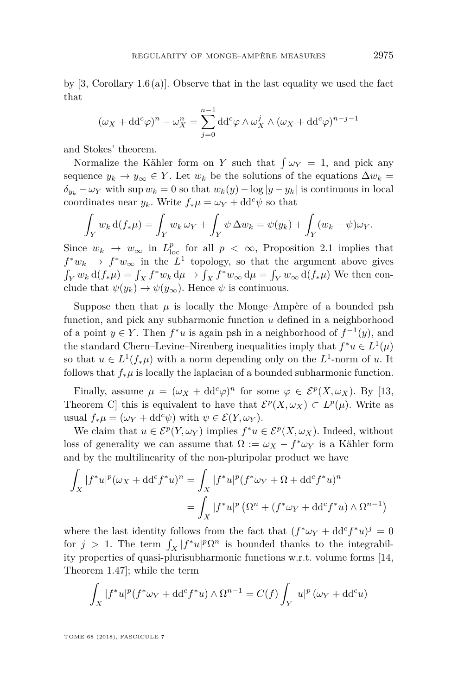by  $[3, Corollary 1.6(a)]$  $[3, Corollary 1.6(a)]$ . Observe that in the last equality we used the fact that

$$
(\omega_X + dd^c \varphi)^n - \omega_X^n = \sum_{j=0}^{n-1} dd^c \varphi \wedge \omega_X^j \wedge (\omega_X + dd^c \varphi)^{n-j-1}
$$

and Stokes' theorem.

Normalize the Kähler form on *Y* such that  $\int \omega_Y = 1$ , and pick any sequence  $y_k \to y_\infty \in Y$ . Let  $w_k$  be the solutions of the equations  $\Delta w_k =$  $\delta_{y_k} - \omega_Y$  with sup  $w_k = 0$  so that  $w_k(y) - \log |y - y_k|$  is continuous in local coordinates near  $y_k$ . Write  $f_*\mu = \omega_Y + \mathrm{d} \mathrm{d}^c \psi$  so that

$$
\int_Y w_k \, \mathrm{d} (f_* \mu) = \int_Y w_k \, \omega_Y + \int_Y \psi \, \Delta w_k = \psi(y_k) + \int_Y (w_k - \psi) \omega_Y.
$$

Since  $w_k \to w_\infty$  in  $L^p_{\text{loc}}$  for all  $p < \infty$ , Proposition [2.1](#page-5-1) implies that  $f^*w_k \to f^*w_\infty$  in the  $L^1$  topology, so that the argument above gives  $\int_Y w_k d(f_*\mu) = \int_X f^*w_k d\mu \to \int_X f^*w_\infty d\mu = \int_Y w_\infty d(f_*\mu)$  We then conclude that  $\psi(y_k) \to \psi(y_\infty)$ . Hence  $\psi$  is continuous.

Suppose then that  $\mu$  is locally the Monge–Ampère of a bounded psh function, and pick any subharmonic function *u* defined in a neighborhood of a point  $y \in Y$ . Then  $f^*u$  is again psh in a neighborhood of  $f^{-1}(y)$ , and the standard Chern–Levine–Nirenberg inequalities imply that  $f^*u \in L^1(\mu)$ so that  $u \in L^1(f_*\mu)$  with a norm depending only on the  $L^1$ -norm of *u*. It follows that  $f_*\mu$  is locally the laplacian of a bounded subharmonic function.

Finally, assume  $\mu = (\omega_X + dd^c \varphi)^n$  for some  $\varphi \in \mathcal{E}^p(X, \omega_X)$ . By [\[13,](#page-15-0) Theorem C this is equivalent to have that  $\mathcal{E}^p(X, \omega_X) \subset L^p(\mu)$ . Write as usual  $f_*\mu = (\omega_Y + dd^c \psi)$  with  $\psi \in \mathcal{E}(Y, \omega_Y)$ .

We claim that  $u \in \mathcal{E}^p(Y, \omega_Y)$  implies  $f^*u \in \mathcal{E}^p(X, \omega_X)$ . Indeed, without loss of generality we can assume that  $\Omega := \omega_X - f^* \omega_Y$  is a Kähler form and by the multilinearity of the non-pluripolar product we have

$$
\int_X |f^*u|^p (\omega_X + dd^c f^*u)^n = \int_X |f^*u|^p (f^*\omega_Y + \Omega + dd^c f^*u)^n
$$

$$
= \int_X |f^*u|^p (\Omega^n + (f^*\omega_Y + dd^c f^*u) \wedge \Omega^{n-1})
$$

where the last identity follows from the fact that  $(f^*\omega_Y + dd^c f^*u)^j = 0$ for  $j > 1$ . The term  $\int_X |f^*u|^p \Omega^n$  is bounded thanks to the integrability properties of quasi-plurisubharmonic functions w.r.t. volume forms [\[14,](#page-15-15) Theorem 1.47]; while the term

$$
\int_X |f^*u|^p (f^*\omega_Y + dd^c f^*u) \wedge \Omega^{n-1} = C(f) \int_Y |u|^p (\omega_Y + dd^c u)
$$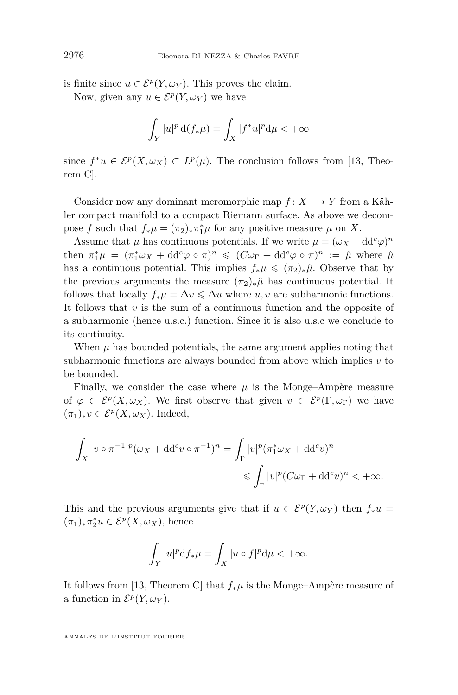is finite since  $u \in \mathcal{E}^p(Y, \omega_Y)$ . This proves the claim.

Now, given any  $u \in \mathcal{E}^p(Y, \omega_Y)$  we have

$$
\int_Y |u|^p \, \mathrm{d} (f_* \mu) = \int_X |f^* u|^p \mathrm{d} \mu < +\infty
$$

since  $f^*u \in \mathcal{E}^p(X,\omega_X) \subset L^p(\mu)$ . The conclusion follows from [\[13,](#page-15-0) Theorem C].

Consider now any dominant meromorphic map  $f: X \dashrightarrow Y$  from a Kähler compact manifold to a compact Riemann surface. As above we decompose *f* such that  $f_*\mu = (\pi_2)_*\pi_1^*\mu$  for any positive measure  $\mu$  on *X*.

Assume that  $\mu$  has continuous potentials. If we write  $\mu = (\omega_X + dd^c \varphi)^n$ then  $\pi_1^*\mu = (\pi_1^*\omega_X + dd^c\varphi \circ \pi)^n \leq (C\omega_\Gamma + dd^c\varphi \circ \pi)^n := \hat{\mu}$  where  $\hat{\mu}$ has a continuous potential. This implies  $f_*\mu \leq (\pi_2)_*\hat{\mu}$ . Observe that by the previous arguments the measure  $(\pi_2)_*\hat{\mu}$  has continuous potential. It follows that locally  $f_*\mu = \Delta v \leq \Delta u$  where *u, v* are subharmonic functions. It follows that *v* is the sum of a continuous function and the opposite of a subharmonic (hence u.s.c.) function. Since it is also u.s.c we conclude to its continuity.

When  $\mu$  has bounded potentials, the same argument applies noting that subharmonic functions are always bounded from above which implies *v* to be bounded.

Finally, we consider the case where  $\mu$  is the Monge–Ampère measure of  $\varphi \in \mathcal{E}^p(X, \omega_X)$ . We first observe that given  $v \in \mathcal{E}^p(\Gamma, \omega_{\Gamma})$  we have (*π*1)∗*v* ∈ E*<sup>p</sup>* (*X, ωX*). Indeed,

$$
\int_X |v \circ \pi^{-1}|^p (\omega_X + dd^c v \circ \pi^{-1})^n = \int_{\Gamma} |v|^p (\pi_1^* \omega_X + dd^c v)^n
$$
  

$$
\leqslant \int_{\Gamma} |v|^p (C\omega_{\Gamma} + dd^c v)^n < +\infty.
$$

This and the previous arguments give that if  $u \in \mathcal{E}^p(Y, \omega_Y)$  then  $f_*u =$  $(\pi_1)_*\pi_2^*u \in \mathcal{E}^p(X,\omega_X)$ , hence

$$
\int_Y |u|^p \mathrm{d} f_* \mu = \int_X |u \circ f|^p \mathrm{d} \mu < +\infty.
$$

It follows from [\[13,](#page-15-0) Theorem C] that *f*∗*µ* is the Monge–Ampère measure of a function in  $\mathcal{E}^p(Y, \omega_Y)$ .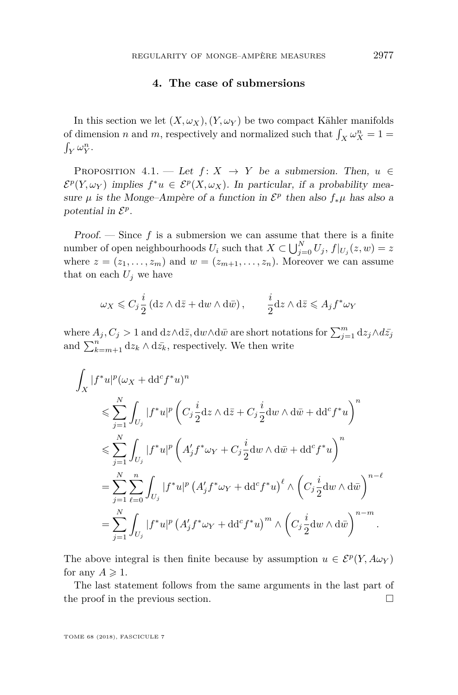#### **4. The case of submersions**

In this section we let  $(X, \omega_X)$ ,  $(Y, \omega_Y)$  be two compact Kähler manifolds of dimension *n* and *m*, respectively and normalized such that  $\int_X \omega_X^n = 1$  $\int_Y \omega_Y^n$ .

PROPOSITION 4.1. — Let  $f: X \rightarrow Y$  be a submersion. Then,  $u \in$  $\mathcal{E}^p(Y,\omega_Y)$  implies  $f^*u \in \mathcal{E}^p(X,\omega_X)$ . In particular, if a probability measure  $\mu$  is the Monge-Ampère of a function in  $\mathcal{E}^p$  then also  $f_*\mu$  has also a potential in  $\mathcal{E}^p$ .

**Proof.** — Since  $f$  is a submersion we can assume that there is a finite number of open neighbourhoods  $U_i$  such that  $X \subset \bigcup_{j=0}^N U_j$ ,  $f|_{U_j}(z, w) = z$ where  $z = (z_1, \ldots, z_m)$  and  $w = (z_{m+1}, \ldots, z_n)$ . Moreover we can assume that on each  $U_j$  we have

$$
\omega_X \leqslant C_j \frac{i}{2} \left( \mathrm{d} z \wedge \mathrm{d} \bar{z} + \mathrm{d} w \wedge \mathrm{d} \bar{w} \right), \qquad \frac{i}{2} \mathrm{d} z \wedge \mathrm{d} \bar{z} \leqslant A_j f^* \omega_Y
$$

where  $A_j, C_j > 1$  and  $dz \wedge d\bar{z}$ ,  $dw \wedge d\bar{w}$  are short notations for  $\sum_{j=1}^m dz_j \wedge d\bar{z}_j$ and  $\sum_{k=m+1}^{n} dz_k \wedge d\bar{z_k}$ , respectively. We then write

$$
\int_X |f^*u|^p (\omega_X + dd^c f^*u)^n
$$
\n
$$
\leq \sum_{j=1}^N \int_{U_j} |f^*u|^p \left( C_j \frac{i}{2} dz \wedge d\bar{z} + C_j \frac{i}{2} dw \wedge d\bar{w} + dd^c f^*u \right)^n
$$
\n
$$
\leq \sum_{j=1}^N \int_{U_j} |f^*u|^p \left( A'_j f^* \omega_Y + C_j \frac{i}{2} dw \wedge d\bar{w} + dd^c f^*u \right)^n
$$
\n
$$
= \sum_{j=1}^N \sum_{\ell=0}^n \int_{U_j} |f^*u|^p \left( A'_j f^* \omega_Y + dd^c f^*u \right)^{\ell} \wedge \left( C_j \frac{i}{2} dw \wedge d\bar{w} \right)^{n-\ell}
$$
\n
$$
= \sum_{j=1}^N \int_{U_j} |f^*u|^p \left( A'_j f^* \omega_Y + dd^c f^*u \right)^m \wedge \left( C_j \frac{i}{2} dw \wedge d\bar{w} \right)^{n-m}.
$$

The above integral is then finite because by assumption  $u \in \mathcal{E}^p(Y, A\omega_Y)$ for any  $A \geqslant 1$ .

The last statement follows from the same arguments in the last part of the proof in the previous section.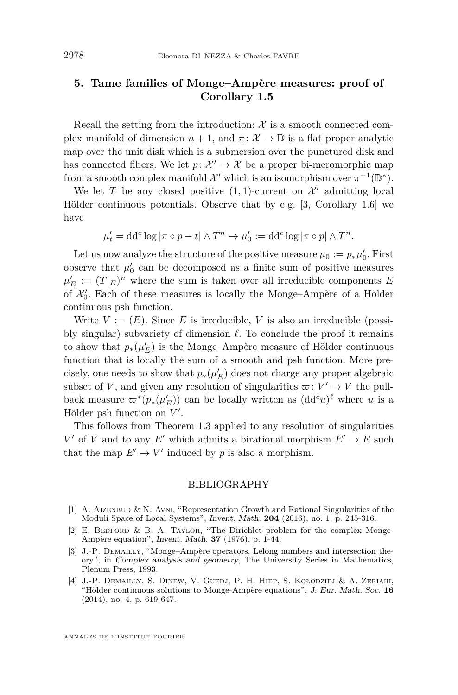#### **5. Tame families of Monge–Ampère measures: proof of Corollary [1.5](#page-4-1)**

Recall the setting from the introduction:  $X$  is a smooth connected complex manifold of dimension  $n + 1$ , and  $\pi: \mathcal{X} \to \mathbb{D}$  is a flat proper analytic map over the unit disk which is a submersion over the punctured disk and has connected fibers. We let  $p: \mathcal{X}' \to \mathcal{X}$  be a proper bi-meromorphic map from a smooth complex manifold  $\mathcal{X}'$  which is an isomorphism over  $\pi^{-1}(\mathbb{D}^*)$ .

We let *T* be any closed positive  $(1,1)$ -current on  $\mathcal{X}'$  admitting local Hölder continuous potentials. Observe that by e.g. [\[3,](#page-14-3) Corollary 1.6] we have

$$
\mu'_t = dd^c \log |\pi \circ p - t| \wedge T^n \to \mu'_0 := dd^c \log |\pi \circ p| \wedge T^n.
$$

Let us now analyze the structure of the positive measure  $\mu_0 := p_* \mu'_0$ . First observe that  $\mu'_0$  can be decomposed as a finite sum of positive measures  $\mu'_E := (T|_E)^n$  where the sum is taken over all irreducible components *E* of  $\mathcal{X}'_0$ . Each of these measures is locally the Monge–Ampère of a Hölder continuous psh function.

Write  $V := (E)$ . Since *E* is irreducible, *V* is also an irreducible (possibly singular) subvariety of dimension  $\ell$ . To conclude the proof it remains to show that  $p_*(\mu'_E)$  is the Monge–Ampère measure of Hölder continuous function that is locally the sum of a smooth and psh function. More precisely, one needs to show that  $p_*(\mu'_{E})$  does not charge any proper algebraic subset of *V*, and given any resolution of singularities  $\varpi: V' \to V$  the pullback measure  $\varpi^*(p_*(\mu'_E))$  can be locally written as  $(\mathrm{dd}^c u)^\ell$  where *u* is a Hölder psh function on  $V'$ .

This follows from Theorem [1.3](#page-3-2) applied to any resolution of singularities *V*<sup> $\prime$ </sup> of *V* and to any *E*<sup> $\prime$ </sup> which admits a birational morphism  $E' \rightarrow E$  such that the map  $E' \to V'$  induced by *p* is also a morphism.

#### BIBLIOGRAPHY

- <span id="page-14-1"></span>[1] A. Aizenbud & N. Avni, "Representation Growth and Rational Singularities of the Moduli Space of Local Systems", Invent. Math. **204** (2016), no. 1, p. 245-316.
- <span id="page-14-0"></span>[2] E. BEDFORD & B. A. TAYLOR, "The Dirichlet problem for the complex Monge-Ampère equation", Invent. Math. **37** (1976), p. 1-44.
- <span id="page-14-3"></span>[3] J.-P. Demailly, "Monge–Ampère operators, Lelong numbers and intersection theory", in Complex analysis and geometry, The University Series in Mathematics, Plenum Press, 1993.
- <span id="page-14-2"></span>[4] J.-P. Demailly, S. Dinew, V. Guedj, P. H. Hiep, S. Kołodziej & A. Zeriahi, "Hölder continuous solutions to Monge-Ampère equations", J. Eur. Math. Soc. **16** (2014), no. 4, p. 619-647.